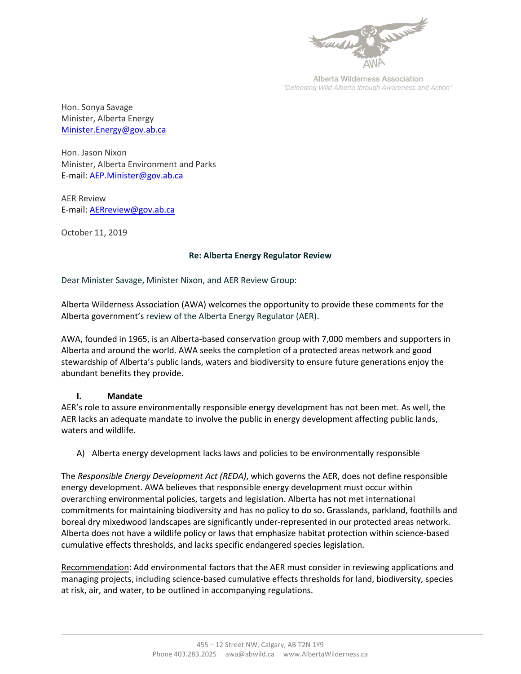

Alberta Wilderness Association *"Defending Wild Alberta through Awareness and Action"*

Hon. Sonya Savage Minister, Alberta Energy [Minister.Energy@gov.ab.ca](mailto:Minister.Energy@gov.ab.ca)

Hon. Jason Nixon Minister, Alberta Environment and Parks E-mail: [AEP.Minister@gov.ab.ca](mailto:AEP.Minister@gov.ab.ca)

AER Review E-mail: [AERreview@gov.ab.ca](mailto:AERreview@gov.ab.ca)

October 11, 2019

## **Re: Alberta Energy Regulator Review**

Dear Minister Savage, Minister Nixon, and AER Review Group:

Alberta Wilderness Association (AWA) welcomes the opportunity to provide these comments for the Alberta government's review of the Alberta Energy Regulator (AER).

AWA, founded in 1965, is an Alberta-based conservation group with 7,000 members and supporters in Alberta and around the world. AWA seeks the completion of a protected areas network and good stewardship of Alberta's public lands, waters and biodiversity to ensure future generations enjoy the abundant benefits they provide.

## **I. Mandate**

AER's role to assure environmentally responsible energy development has not been met. As well, the AER lacks an adequate mandate to involve the public in energy development affecting public lands, waters and wildlife.

A) Alberta energy development lacks laws and policies to be environmentally responsible

The *Responsible Energy Development Act (REDA)*, which governs the AER, does not define responsible energy development. AWA believes that responsible energy development must occur within overarching environmental policies, targets and legislation. Alberta has not met international commitments for maintaining biodiversity and has no policy to do so. Grasslands, parkland, foothills and boreal dry mixedwood landscapes are significantly under-represented in our protected areas network. Alberta does not have a wildlife policy or laws that emphasize habitat protection within science-based cumulative effects thresholds, and lacks specific endangered species legislation.

Recommendation: Add environmental factors that the AER must consider in reviewing applications and managing projects, including science-based cumulative effects thresholds for land, biodiversity, species at risk, air, and water, to be outlined in accompanying regulations.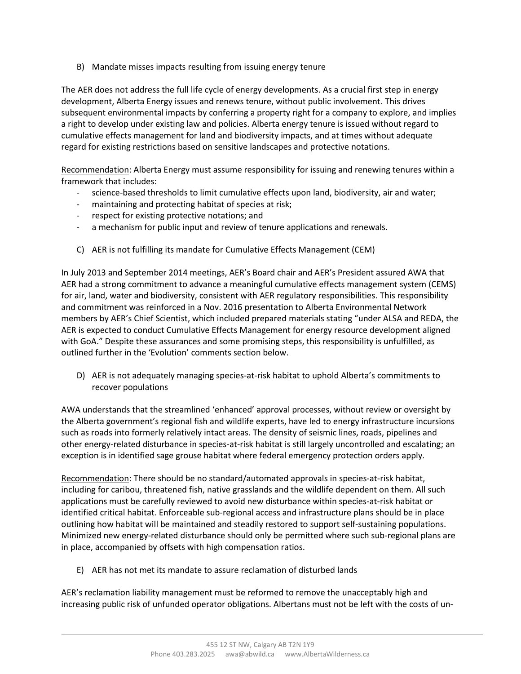B) Mandate misses impacts resulting from issuing energy tenure

The AER does not address the full life cycle of energy developments. As a crucial first step in energy development, Alberta Energy issues and renews tenure, without public involvement. This drives subsequent environmental impacts by conferring a property right for a company to explore, and implies a right to develop under existing law and policies. Alberta energy tenure is issued without regard to cumulative effects management for land and biodiversity impacts, and at times without adequate regard for existing restrictions based on sensitive landscapes and protective notations.

Recommendation: Alberta Energy must assume responsibility for issuing and renewing tenures within a framework that includes:

- science-based thresholds to limit cumulative effects upon land, biodiversity, air and water;
- maintaining and protecting habitat of species at risk;
- respect for existing protective notations; and
- a mechanism for public input and review of tenure applications and renewals.
- C) AER is not fulfilling its mandate for Cumulative Effects Management (CEM)

In July 2013 and September 2014 meetings, AER's Board chair and AER's President assured AWA that AER had a strong commitment to advance a meaningful cumulative effects management system (CEMS) for air, land, water and biodiversity, consistent with AER regulatory responsibilities. This responsibility and commitment was reinforced in a Nov. 2016 presentation to Alberta Environmental Network members by AER's Chief Scientist, which included prepared materials stating "under ALSA and REDA, the AER is expected to conduct Cumulative Effects Management for energy resource development aligned with GoA." Despite these assurances and some promising steps, this responsibility is unfulfilled, as outlined further in the 'Evolution' comments section below.

D) AER is not adequately managing species-at-risk habitat to uphold Alberta's commitments to recover populations

AWA understands that the streamlined 'enhanced' approval processes, without review or oversight by the Alberta government's regional fish and wildlife experts, have led to energy infrastructure incursions such as roads into formerly relatively intact areas. The density of seismic lines, roads, pipelines and other energy-related disturbance in species-at-risk habitat is still largely uncontrolled and escalating; an exception is in identified sage grouse habitat where federal emergency protection orders apply.

Recommendation: There should be no standard/automated approvals in species-at-risk habitat, including for caribou, threatened fish, native grasslands and the wildlife dependent on them. All such applications must be carefully reviewed to avoid new disturbance within species-at-risk habitat or identified critical habitat. Enforceable sub-regional access and infrastructure plans should be in place outlining how habitat will be maintained and steadily restored to support self-sustaining populations. Minimized new energy-related disturbance should only be permitted where such sub-regional plans are in place, accompanied by offsets with high compensation ratios.

E) AER has not met its mandate to assure reclamation of disturbed lands

AER's reclamation liability management must be reformed to remove the unacceptably high and increasing public risk of unfunded operator obligations. Albertans must not be left with the costs of un-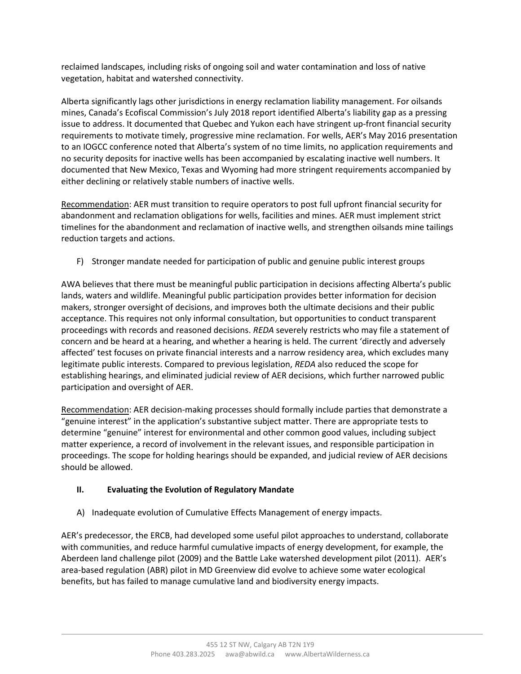reclaimed landscapes, including risks of ongoing soil and water contamination and loss of native vegetation, habitat and watershed connectivity.

Alberta significantly lags other jurisdictions in energy reclamation liability management. For oilsands mines, Canada's Ecofiscal Commission's July 2018 report identified Alberta's liability gap as a pressing issue to address. It documented that Quebec and Yukon each have stringent up-front financial security requirements to motivate timely, progressive mine reclamation. For wells, AER's May 2016 presentation to an IOGCC conference noted that Alberta's system of no time limits, no application requirements and no security deposits for inactive wells has been accompanied by escalating inactive well numbers. It documented that New Mexico, Texas and Wyoming had more stringent requirements accompanied by either declining or relatively stable numbers of inactive wells.

Recommendation: AER must transition to require operators to post full upfront financial security for abandonment and reclamation obligations for wells, facilities and mines. AER must implement strict timelines for the abandonment and reclamation of inactive wells, and strengthen oilsands mine tailings reduction targets and actions.

F) Stronger mandate needed for participation of public and genuine public interest groups

AWA believes that there must be meaningful public participation in decisions affecting Alberta's public lands, waters and wildlife. Meaningful public participation provides better information for decision makers, stronger oversight of decisions, and improves both the ultimate decisions and their public acceptance. This requires not only informal consultation, but opportunities to conduct transparent proceedings with records and reasoned decisions. *REDA* severely restricts who may file a statement of concern and be heard at a hearing, and whether a hearing is held. The current 'directly and adversely affected' test focuses on private financial interests and a narrow residency area, which excludes many legitimate public interests. Compared to previous legislation, *REDA* also reduced the scope for establishing hearings, and eliminated judicial review of AER decisions, which further narrowed public participation and oversight of AER.

Recommendation: AER decision-making processes should formally include parties that demonstrate a "genuine interest" in the application's substantive subject matter. There are appropriate tests to determine "genuine" interest for environmental and other common good values, including subject matter experience, a record of involvement in the relevant issues, and responsible participation in proceedings. The scope for holding hearings should be expanded, and judicial review of AER decisions should be allowed.

## **II. Evaluating the Evolution of Regulatory Mandate**

A) Inadequate evolution of Cumulative Effects Management of energy impacts.

AER's predecessor, the ERCB, had developed some useful pilot approaches to understand, collaborate with communities, and reduce harmful cumulative impacts of energy development, for example, the Aberdeen land challenge pilot (2009) and the Battle Lake watershed development pilot (2011). AER's area-based regulation (ABR) pilot in MD Greenview did evolve to achieve some water ecological benefits, but has failed to manage cumulative land and biodiversity energy impacts.